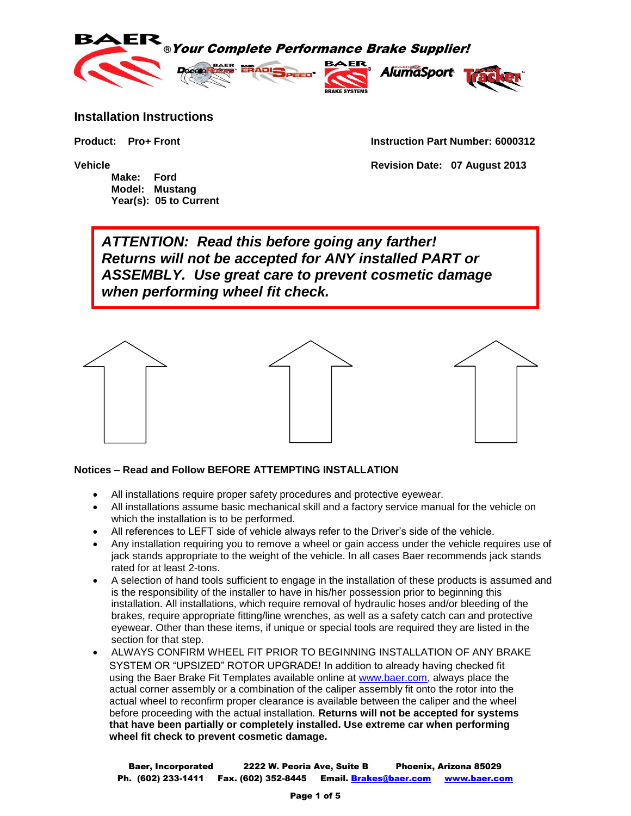

### **Installation Instructions**

**Make: Ford Model: Mustang Year(s): 05 to Current**

**Product: Pro+ Front Instruction Part Number: 6000312**

**Vehicle Revision Date: 07 August 2013**

*ATTENTION: Read this before going any farther! Returns will not be accepted for ANY installed PART or ASSEMBLY. Use great care to prevent cosmetic damage when performing wheel fit check.*



#### **Notices – Read and Follow BEFORE ATTEMPTING INSTALLATION**

- All installations require proper safety procedures and protective eyewear.
- All installations assume basic mechanical skill and a factory service manual for the vehicle on which the installation is to be performed.
- All references to LEFT side of vehicle always refer to the Driver's side of the vehicle.
- Any installation requiring you to remove a wheel or gain access under the vehicle requires use of jack stands appropriate to the weight of the vehicle. In all cases Baer recommends jack stands rated for at least 2-tons.
- A selection of hand tools sufficient to engage in the installation of these products is assumed and is the responsibility of the installer to have in his/her possession prior to beginning this installation. All installations, which require removal of hydraulic hoses and/or bleeding of the brakes, require appropriate fitting/line wrenches, as well as a safety catch can and protective eyewear. Other than these items, if unique or special tools are required they are listed in the section for that step.
- ALWAYS CONFIRM WHEEL FIT PRIOR TO BEGINNING INSTALLATION OF ANY BRAKE SYSTEM OR "UPSIZED" ROTOR UPGRADE! In addition to already having checked fit using the Baer Brake Fit Templates available online at [www.baer.com,](http://www.baer.com/) always place the actual corner assembly or a combination of the caliper assembly fit onto the rotor into the actual wheel to reconfirm proper clearance is available between the caliper and the wheel before proceeding with the actual installation. **Returns will not be accepted for systems that have been partially or completely installed. Use extreme car when performing wheel fit check to prevent cosmetic damage.**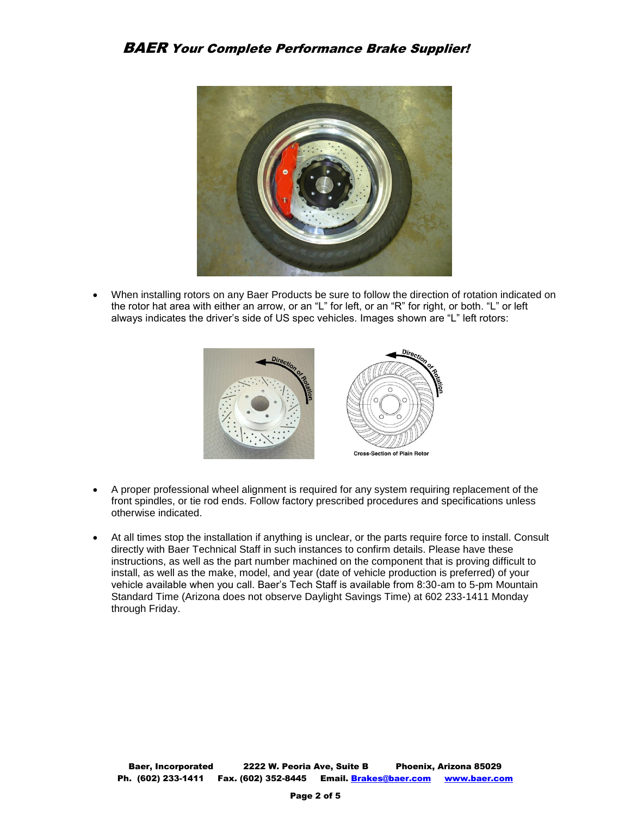

 When installing rotors on any Baer Products be sure to follow the direction of rotation indicated on the rotor hat area with either an arrow, or an "L" for left, or an "R" for right, or both. "L" or left always indicates the driver's side of US spec vehicles. Images shown are "L" left rotors:



- A proper professional wheel alignment is required for any system requiring replacement of the front spindles, or tie rod ends. Follow factory prescribed procedures and specifications unless otherwise indicated.
- At all times stop the installation if anything is unclear, or the parts require force to install. Consult directly with Baer Technical Staff in such instances to confirm details. Please have these instructions, as well as the part number machined on the component that is proving difficult to install, as well as the make, model, and year (date of vehicle production is preferred) of your vehicle available when you call. Baer's Tech Staff is available from 8:30-am to 5-pm Mountain Standard Time (Arizona does not observe Daylight Savings Time) at 602 233-1411 Monday through Friday.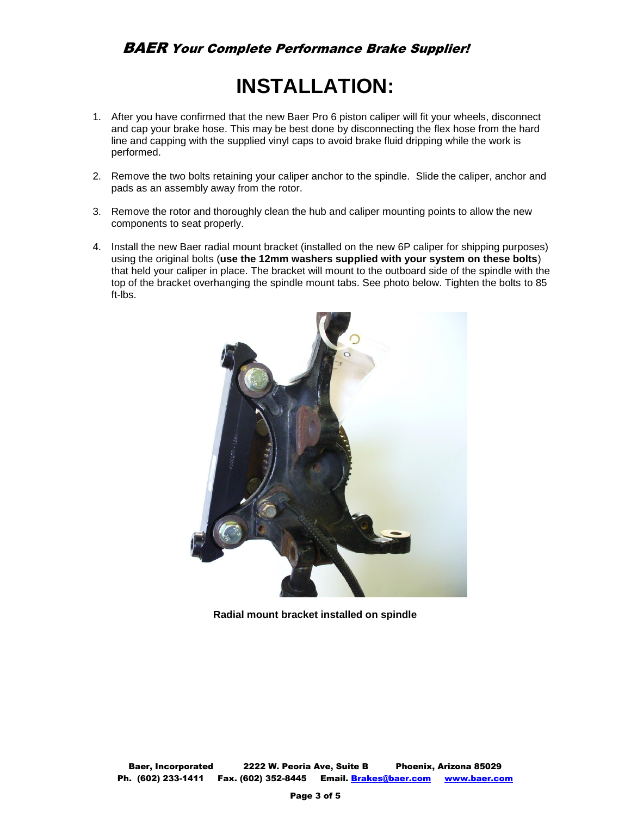# **INSTALLATION:**

- 1. After you have confirmed that the new Baer Pro 6 piston caliper will fit your wheels, disconnect and cap your brake hose. This may be best done by disconnecting the flex hose from the hard line and capping with the supplied vinyl caps to avoid brake fluid dripping while the work is performed.
- 2. Remove the two bolts retaining your caliper anchor to the spindle. Slide the caliper, anchor and pads as an assembly away from the rotor.
- 3. Remove the rotor and thoroughly clean the hub and caliper mounting points to allow the new components to seat properly.
- 4. Install the new Baer radial mount bracket (installed on the new 6P caliper for shipping purposes) using the original bolts (**use the 12mm washers supplied with your system on these bolts**) that held your caliper in place. The bracket will mount to the outboard side of the spindle with the top of the bracket overhanging the spindle mount tabs. See photo below. Tighten the bolts to 85 ft-lbs.



**Radial mount bracket installed on spindle**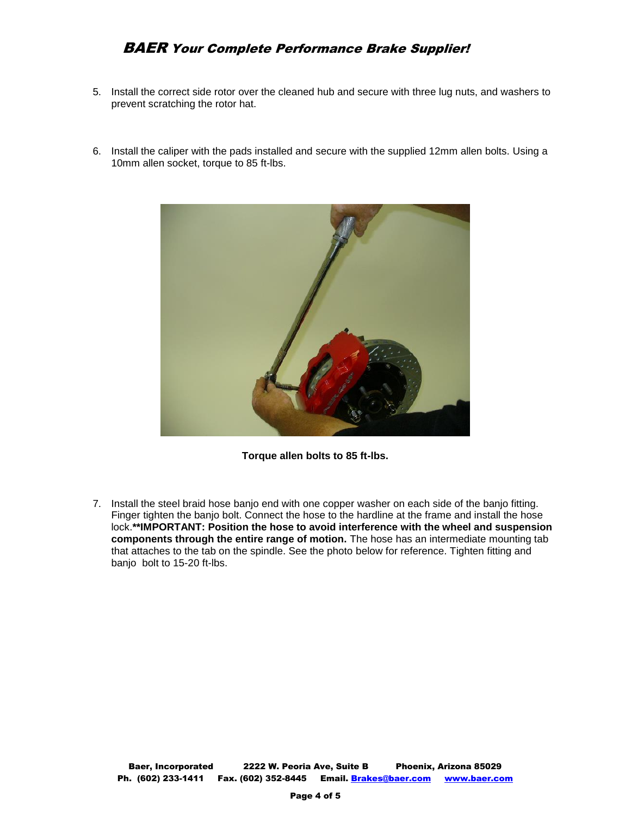## BAER Your Complete Performance Brake Supplier!

- 5. Install the correct side rotor over the cleaned hub and secure with three lug nuts, and washers to prevent scratching the rotor hat.
- 6. Install the caliper with the pads installed and secure with the supplied 12mm allen bolts. Using a 10mm allen socket, torque to 85 ft-lbs.



**Torque allen bolts to 85 ft-lbs.**

7. Install the steel braid hose banjo end with one copper washer on each side of the banjo fitting. Finger tighten the banjo bolt. Connect the hose to the hardline at the frame and install the hose lock.**\*\*IMPORTANT: Position the hose to avoid interference with the wheel and suspension components through the entire range of motion.** The hose has an intermediate mounting tab that attaches to the tab on the spindle. See the photo below for reference. Tighten fitting and banjo bolt to 15-20 ft-lbs.